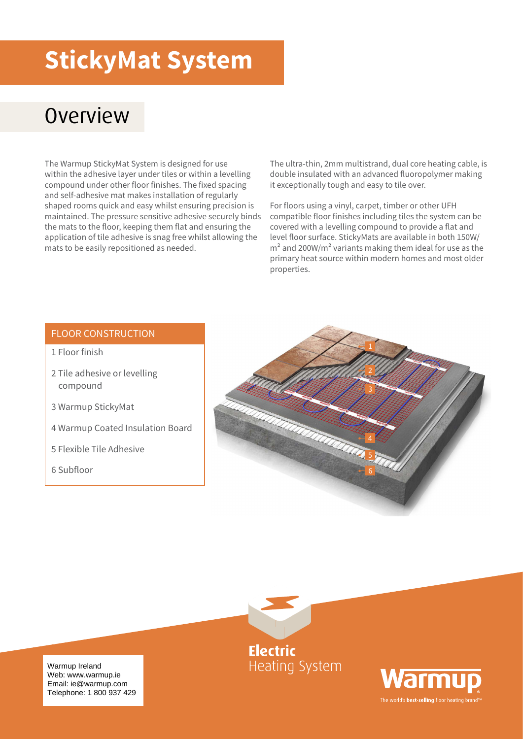## **StickyMat System**

#### **Overview**

The Warmup StickyMat System is designed for use within the adhesive layer under tiles or within a levelling compound under other floor finishes. The fixed spacing and self-adhesive mat makes installation of regularly shaped rooms quick and easy whilst ensuring precision is maintained. The pressure sensitive adhesive securely binds the mats to the floor, keeping them flat and ensuring the application of tile adhesive is snag free whilst allowing the mats to be easily repositioned as needed.

The ultra-thin, 2mm multistrand, dual core heating cable, is double insulated with an advanced fluoropolymer making it exceptionally tough and easy to tile over.

For floors using a vinyl, carpet, timber or other UFH compatible floor finishes including tiles the system can be covered with a levelling compound to provide a flat and level floor surface. StickyMats are available in both 150W/  $m<sup>2</sup>$  and 200W/m<sup>2</sup> variants making them ideal for use as the primary heat source within modern homes and most older properties.

#### FLOOR CONSTRUCTION

- 1 Floor finish
- 2 Tile adhesive or levelling compound
- 3 Warmup StickyMat
- 4 Warmup Coated Insulation Board
- 5 Flexible Tile Adhesive
- 6 Subfloor





**Electric Heating System** 



Warmup Ireland<br>Web: www.warmup.ie Email: ie@warmup.com<br>Eslanhana: 4,000,007.4 Telephone: 1 800 937 429 Warmup Ireland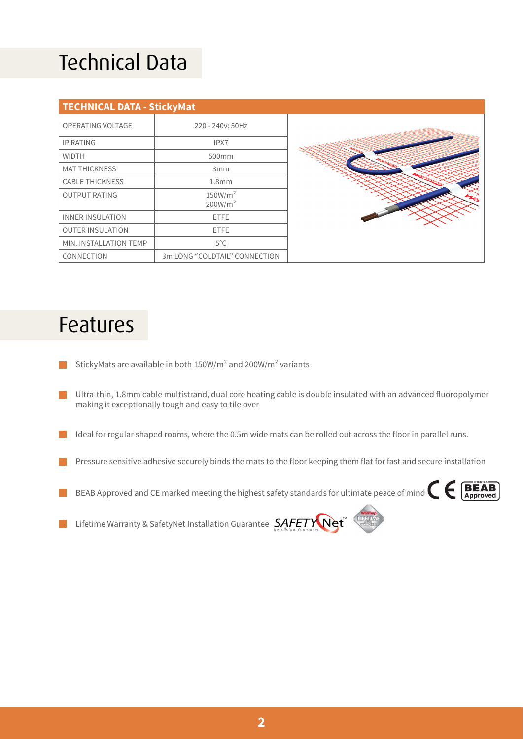## Technical Data

| <b>TECHNICAL DATA - StickyMat</b> |                                            |
|-----------------------------------|--------------------------------------------|
| OPERATING VOLTAGE                 | 220 - 240 v: 50 Hz                         |
| <b>IP RATING</b>                  | IPX7                                       |
| <b>WIDTH</b>                      | 500mm                                      |
| <b>MAT THICKNESS</b>              | 3 <sub>mm</sub>                            |
| <b>CABLE THICKNESS</b>            | 1.8 <sub>mm</sub>                          |
| <b>OUTPUT RATING</b>              | 150W/m <sup>2</sup><br>200W/m <sup>2</sup> |
| <b>INNER INSULATION</b>           | <b>ETFE</b>                                |
| <b>OUTER INSULATION</b>           | <b>ETFE</b>                                |
| MIN. INSTALLATION TEMP            | $5^{\circ}$ C                              |
| CONNECTION                        | 3m LONG "COLDTAIL" CONNECTION              |

#### Features

- StickyMats are available in both 150W/m² and 200W/m² variants
- Ultra-thin, 1.8mm cable multistrand, dual core heating cable is double insulated with an advanced fluoropolymer **Contract** making it exceptionally tough and easy to tile over
- Ideal for regular shaped rooms, where the 0.5m wide mats can be rolled out across the floor in parallel runs. l I
- Pressure sensitive adhesive securely binds the mats to the floor keeping them flat for fast and secure installation
- BEAB Approved and CE marked meeting the highest safety standards for ultimate peace of mind  $\left\{ \begin{array}{c} \text{BERB} \\ \text{Approved} \end{array} \right.$



Lifetime Warranty & SafetyNet Installation Guarantee SAFETY Net n a

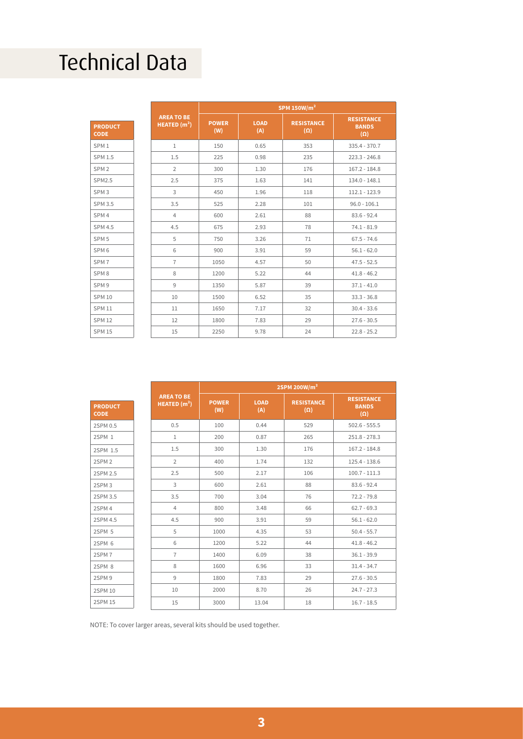## Technical Data

|                               |                                    | SPM 150W/ $m2$      |                    |                                 |                                                 |  |
|-------------------------------|------------------------------------|---------------------|--------------------|---------------------------------|-------------------------------------------------|--|
| <b>PRODUCT</b><br><b>CODE</b> | <b>AREA TO BE</b><br>HEATED $(m2)$ | <b>POWER</b><br>(W) | <b>LOAD</b><br>(A) | <b>RESISTANCE</b><br>$(\Omega)$ | <b>RESISTANCE</b><br><b>BANDS</b><br>$(\Omega)$ |  |
| SPM <sub>1</sub>              | $\mathbf{1}$                       | 150                 | 0.65               | 353                             | $335.4 - 370.7$                                 |  |
| <b>SPM 1.5</b>                | 1.5                                | 225                 | 0.98               | 235                             | $223.3 - 246.8$                                 |  |
| SPM <sub>2</sub>              | $\overline{2}$                     | 300                 | 1.30               | 176                             | $167.2 - 184.8$                                 |  |
| <b>SPM2.5</b>                 | 2.5                                | 375                 | 1.63               | 141                             | $134.0 - 148.1$                                 |  |
| SPM <sub>3</sub>              | 3                                  | 450                 | 1.96               | 118                             | $112.1 - 123.9$                                 |  |
| <b>SPM 3.5</b>                | 3.5                                | 525                 | 2.28               | 101                             | $96.0 - 106.1$                                  |  |
| SPM <sub>4</sub>              | $\overline{4}$                     | 600                 | 2.61               | 88                              | $83.6 - 92.4$                                   |  |
| <b>SPM 4.5</b>                | 4.5                                | 675                 | 2.93               | 78                              | $74.1 - 81.9$                                   |  |
| SPM <sub>5</sub>              | 5                                  | 750                 | 3.26               | 71                              | $67.5 - 74.6$                                   |  |
| SPM <sub>6</sub>              | 6                                  | 900                 | 3.91               | 59                              | $56.1 - 62.0$                                   |  |
| SPM <sub>7</sub>              | $\overline{7}$                     | 1050                | 4.57               | 50                              | $47.5 - 52.5$                                   |  |
| SPM <sub>8</sub>              | 8                                  | 1200                | 5.22               | 44                              | $41.8 - 46.2$                                   |  |
| SPM <sub>9</sub>              | 9                                  | 1350                | 5.87               | 39                              | $37.1 - 41.0$                                   |  |
| <b>SPM 10</b>                 | 10                                 | 1500                | 6.52               | 35                              | $33.3 - 36.8$                                   |  |
| <b>SPM 11</b>                 | 11                                 | 1650                | 7.17               | 32                              | $30.4 - 33.6$                                   |  |
| <b>SPM 12</b>                 | 12                                 | 1800                | 7.83               | 29                              | $27.6 - 30.5$                                   |  |
| <b>SPM 15</b>                 | 15                                 | 2250                | 9.78               | 24                              | $22.8 - 25.2$                                   |  |

|                               |                                    | 2SPM 200W/m <sup>2</sup> |                    |                                 |                                                 |  |
|-------------------------------|------------------------------------|--------------------------|--------------------|---------------------------------|-------------------------------------------------|--|
| <b>PRODUCT</b><br><b>CODE</b> | <b>AREA TO BE</b><br>HEATED $(m2)$ | <b>POWER</b><br>(W)      | <b>LOAD</b><br>(A) | <b>RESISTANCE</b><br>$(\Omega)$ | <b>RESISTANCE</b><br><b>BANDS</b><br>$(\Omega)$ |  |
| 2SPM 0.5                      | 0.5                                | 100                      | 0.44               | 529                             | $502.6 - 555.5$                                 |  |
| 2SPM 1                        | $\mathbf{1}$                       | 200                      | 0.87               | 265                             | $251.8 - 278.3$                                 |  |
| 2SPM 1.5                      | 1.5                                | 300                      | 1.30               | 176                             | $167.2 - 184.8$                                 |  |
| 2SPM <sub>2</sub>             | $\overline{2}$                     | 400                      | 1.74               | 132                             | 125.4 - 138.6                                   |  |
| 2SPM 2.5                      | 2.5                                | 500                      | 2.17               | 106                             | $100.7 - 111.3$                                 |  |
| 2SPM <sub>3</sub>             | 3                                  | 600                      | 2.61               | 88                              | $83.6 - 92.4$                                   |  |
| 2SPM 3.5                      | 3.5                                | 700                      | 3.04               | 76                              | $72.2 - 79.8$                                   |  |
| 2SPM 4                        | $\overline{4}$                     | 800                      | 3.48               | 66                              | $62.7 - 69.3$                                   |  |
| 2SPM 4.5                      | 4.5                                | 900                      | 3.91               | 59                              | $56.1 - 62.0$                                   |  |
| 2SPM 5                        | 5                                  | 1000                     | 4.35               | 53                              | $50.4 - 55.7$                                   |  |
| 2SPM 6                        | 6                                  | 1200                     | 5.22               | 44                              | $41.8 - 46.2$                                   |  |
| 2SPM7                         | $\overline{7}$                     | 1400                     | 6.09               | 38                              | $36.1 - 39.9$                                   |  |
| 2SPM 8                        | 8                                  | 1600                     | 6.96               | 33                              | $31.4 - 34.7$                                   |  |
| 2SPM 9                        | 9                                  | 1800                     | 7.83               | 29                              | $27.6 - 30.5$                                   |  |
| 2SPM 10                       | 10                                 | 2000                     | 8.70               | 26                              | $24.7 - 27.3$                                   |  |
| <b>2SPM 15</b>                | 15                                 | 3000                     | 13.04              | 18                              | $16.7 - 18.5$                                   |  |

NOTE: To cover larger areas, several kits should be used together.